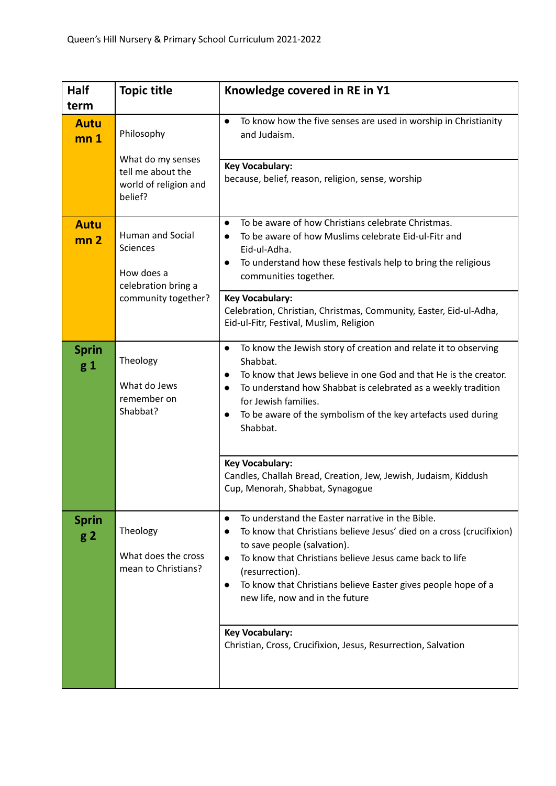| Half<br>term                   | <b>Topic title</b>                                                                              | Knowledge covered in RE in Y1                                                                                                                                                                                                                                                                                                                                                    |
|--------------------------------|-------------------------------------------------------------------------------------------------|----------------------------------------------------------------------------------------------------------------------------------------------------------------------------------------------------------------------------------------------------------------------------------------------------------------------------------------------------------------------------------|
| <b>Autu</b><br>mn <sub>1</sub> | Philosophy                                                                                      | To know how the five senses are used in worship in Christianity<br>$\bullet$<br>and Judaism.                                                                                                                                                                                                                                                                                     |
|                                | What do my senses<br>tell me about the<br>world of religion and<br>belief?                      | <b>Key Vocabulary:</b><br>because, belief, reason, religion, sense, worship                                                                                                                                                                                                                                                                                                      |
| <b>Autu</b><br>mn <sub>2</sub> | <b>Human and Social</b><br>Sciences<br>How does a<br>celebration bring a<br>community together? | To be aware of how Christians celebrate Christmas.<br>$\bullet$<br>To be aware of how Muslims celebrate Eid-ul-Fitr and<br>$\bullet$<br>Eid-ul-Adha.<br>To understand how these festivals help to bring the religious<br>communities together.                                                                                                                                   |
|                                |                                                                                                 | <b>Key Vocabulary:</b><br>Celebration, Christian, Christmas, Community, Easter, Eid-ul-Adha,<br>Eid-ul-Fitr, Festival, Muslim, Religion                                                                                                                                                                                                                                          |
| <b>Sprin</b><br>$g_1$          | Theology<br>What do Jews<br>remember on<br>Shabbat?                                             | To know the Jewish story of creation and relate it to observing<br>$\bullet$<br>Shabbat.<br>To know that Jews believe in one God and that He is the creator.<br>$\bullet$<br>To understand how Shabbat is celebrated as a weekly tradition<br>for Jewish families.<br>To be aware of the symbolism of the key artefacts used during<br>Shabbat.                                  |
|                                |                                                                                                 | <b>Key Vocabulary:</b><br>Candles, Challah Bread, Creation, Jew, Jewish, Judaism, Kiddush<br>Cup, Menorah, Shabbat, Synagogue                                                                                                                                                                                                                                                    |
| <b>Sprin</b><br>g <sub>2</sub> | Theology<br>What does the cross<br>mean to Christians?                                          | To understand the Easter narrative in the Bible.<br>$\bullet$<br>To know that Christians believe Jesus' died on a cross (crucifixion)<br>$\bullet$<br>to save people (salvation).<br>To know that Christians believe Jesus came back to life<br>(resurrection).<br>To know that Christians believe Easter gives people hope of a<br>$\bullet$<br>new life, now and in the future |
|                                |                                                                                                 | <b>Key Vocabulary:</b><br>Christian, Cross, Crucifixion, Jesus, Resurrection, Salvation                                                                                                                                                                                                                                                                                          |